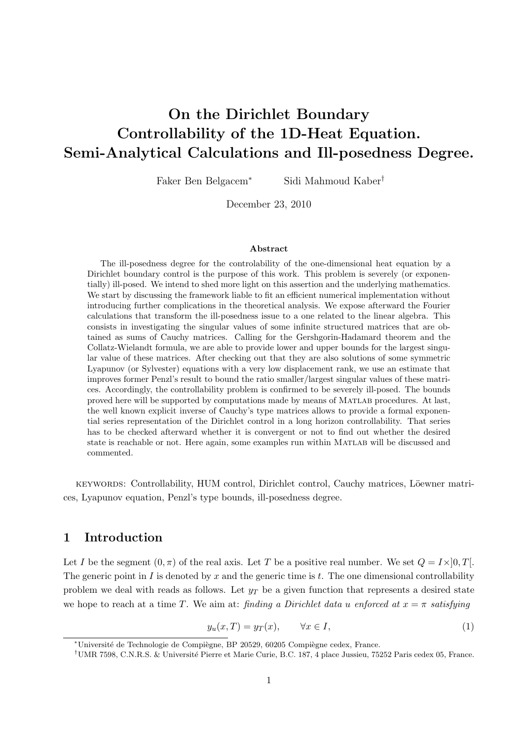# On the Dirichlet Boundary Controllability of the 1D-Heat Equation. Semi-Analytical Calculations and Ill-posedness Degree.

Faker Ben Belgacem<sup>∗</sup> Sidi Mahmoud Kaber†

December 23, 2010

#### Abstract

The ill-posedness degree for the controlability of the one-dimensional heat equation by a Dirichlet boundary control is the purpose of this work. This problem is severely (or exponentially) ill-posed. We intend to shed more light on this assertion and the underlying mathematics. We start by discussing the framework liable to fit an efficient numerical implementation without introducing further complications in the theoretical analysis. We expose afterward the Fourier calculations that transform the ill-posedness issue to a one related to the linear algebra. This consists in investigating the singular values of some infinite structured matrices that are obtained as sums of Cauchy matrices. Calling for the Gershgorin-Hadamard theorem and the Collatz-Wielandt formula, we are able to provide lower and upper bounds for the largest singular value of these matrices. After checking out that they are also solutions of some symmetric Lyapunov (or Sylvester) equations with a very low displacement rank, we use an estimate that improves former Penzl's result to bound the ratio smaller/largest singular values of these matrices. Accordingly, the controllability problem is confirmed to be severely ill-posed. The bounds proved here will be supported by computations made by means of Matlab procedures. At last, the well known explicit inverse of Cauchy's type matrices allows to provide a formal exponential series representation of the Dirichlet control in a long horizon controllability. That series has to be checked afterward whether it is convergent or not to find out whether the desired state is reachable or not. Here again, some examples run within Matlab will be discussed and commented.

keywords: Controllability, HUM control, Dirichlet control, Cauchy matrices, Löewner matrices, Lyapunov equation, Penzl's type bounds, ill-posedness degree.

### 1 Introduction

Let I be the segment  $(0, \pi)$  of the real axis. Let T be a positive real number. We set  $Q = I \times ]0, T[$ . The generic point in  $I$  is denoted by  $x$  and the generic time is  $t$ . The one dimensional controllability problem we deal with reads as follows. Let  $y_T$  be a given function that represents a desired state we hope to reach at a time T. We aim at: finding a Dirichlet data u enforced at  $x = \pi$  satisfying

$$
y_u(x,T) = y_T(x), \qquad \forall x \in I,
$$
\n<sup>(1)</sup>

<sup>\*</sup>Université de Technologie de Compiègne, BP 20529, 60205 Compiègne cedex, France.

<sup>&</sup>lt;sup>†</sup>UMR 7598, C.N.R.S. & Université Pierre et Marie Curie, B.C. 187, 4 place Jussieu, 75252 Paris cedex 05, France.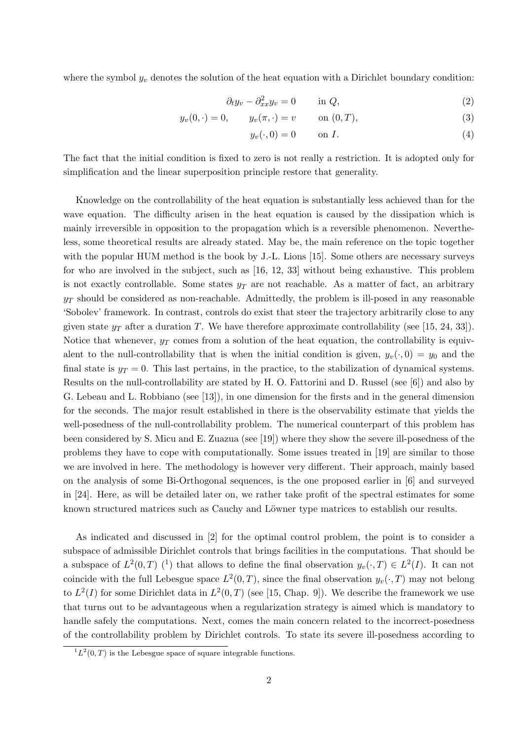where the symbol  $y_v$  denotes the solution of the heat equation with a Dirichlet boundary condition:

$$
\partial_t y_v - \partial_{xx}^2 y_v = 0 \qquad \text{in } Q,\tag{2}
$$

$$
y_v(0, \cdot) = 0,
$$
  $y_v(\pi, \cdot) = v$  on  $(0, T),$  (3)

$$
y_v(\cdot,0) = 0 \qquad \text{on } I. \tag{4}
$$

The fact that the initial condition is fixed to zero is not really a restriction. It is adopted only for simplification and the linear superposition principle restore that generality.

Knowledge on the controllability of the heat equation is substantially less achieved than for the wave equation. The difficulty arisen in the heat equation is caused by the dissipation which is mainly irreversible in opposition to the propagation which is a reversible phenomenon. Nevertheless, some theoretical results are already stated. May be, the main reference on the topic together with the popular HUM method is the book by J.-L. Lions [15]. Some others are necessary surveys for who are involved in the subject, such as [16, 12, 33] without being exhaustive. This problem is not exactly controllable. Some states  $y_T$  are not reachable. As a matter of fact, an arbitrary  $y_T$  should be considered as non-reachable. Admittedly, the problem is ill-posed in any reasonable 'Sobolev' framework. In contrast, controls do exist that steer the trajectory arbitrarily close to any given state  $y_T$  after a duration T. We have therefore approximate controllability (see [15, 24, 33]). Notice that whenever,  $y_T$  comes from a solution of the heat equation, the controllability is equivalent to the null-controllability that is when the initial condition is given,  $y_v(\cdot, 0) = y_0$  and the final state is  $y_T = 0$ . This last pertains, in the practice, to the stabilization of dynamical systems. Results on the null-controllability are stated by H. O. Fattorini and D. Russel (see [6]) and also by G. Lebeau and L. Robbiano (see [13]), in one dimension for the firsts and in the general dimension for the seconds. The major result established in there is the observability estimate that yields the well-posedness of the null-controllability problem. The numerical counterpart of this problem has been considered by S. Micu and E. Zuazua (see [19]) where they show the severe ill-posedness of the problems they have to cope with computationally. Some issues treated in [19] are similar to those we are involved in here. The methodology is however very different. Their approach, mainly based on the analysis of some Bi-Orthogonal sequences, is the one proposed earlier in [6] and surveyed in [24]. Here, as will be detailed later on, we rather take profit of the spectral estimates for some known structured matrices such as Cauchy and Löwner type matrices to establish our results.

As indicated and discussed in [2] for the optimal control problem, the point is to consider a subspace of admissible Dirichlet controls that brings facilities in the computations. That should be a subspace of  $L^2(0,T)$  (<sup>1</sup>) that allows to define the final observation  $y_v(\cdot,T) \in L^2(I)$ . It can not coincide with the full Lebesgue space  $L^2(0,T)$ , since the final observation  $y_v(\cdot,T)$  may not belong to  $L^2(I)$  for some Dirichlet data in  $L^2(0,T)$  (see [15, Chap. 9]). We describe the framework we use that turns out to be advantageous when a regularization strategy is aimed which is mandatory to handle safely the computations. Next, comes the main concern related to the incorrect-posedness of the controllability problem by Dirichlet controls. To state its severe ill-posedness according to

 ${}^{1}L^{2}(0,T)$  is the Lebesgue space of square integrable functions.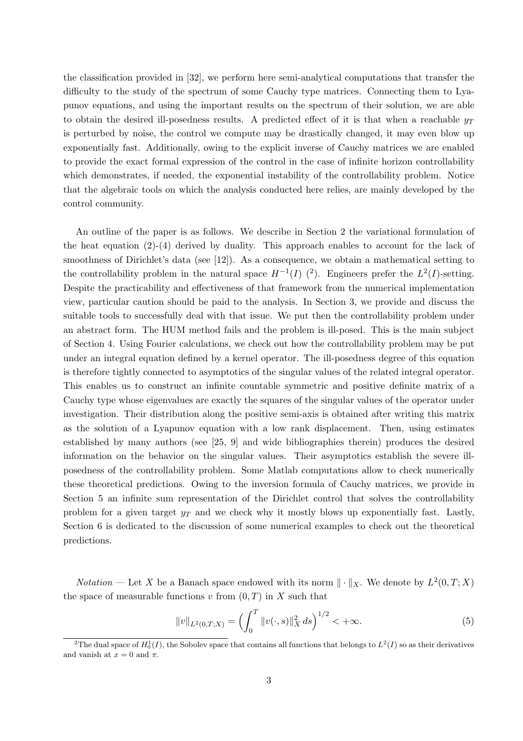the classification provided in [32], we perform here semi-analytical computations that transfer the difficulty to the study of the spectrum of some Cauchy type matrices. Connecting them to Lyapunov equations, and using the important results on the spectrum of their solution, we are able to obtain the desired ill-posedness results. A predicted effect of it is that when a reachable  $y_T$ is perturbed by noise, the control we compute may be drastically changed, it may even blow up exponentially fast. Additionally, owing to the explicit inverse of Cauchy matrices we are enabled to provide the exact formal expression of the control in the case of infinite horizon controllability which demonstrates, if needed, the exponential instability of the controllability problem. Notice that the algebraic tools on which the analysis conducted here relies, are mainly developed by the control community.

An outline of the paper is as follows. We describe in Section 2 the variational formulation of the heat equation (2)-(4) derived by duality. This approach enables to account for the lack of smoothness of Dirichlet's data (see [12]). As a consequence, we obtain a mathematical setting to the controllability problem in the natural space  $H^{-1}(I)$  (<sup>2</sup>). Engineers prefer the  $L^2(I)$ -setting. Despite the practicability and effectiveness of that framework from the numerical implementation view, particular caution should be paid to the analysis. In Section 3, we provide and discuss the suitable tools to successfully deal with that issue. We put then the controllability problem under an abstract form. The HUM method fails and the problem is ill-posed. This is the main subject of Section 4. Using Fourier calculations, we check out how the controllability problem may be put under an integral equation defined by a kernel operator. The ill-posedness degree of this equation is therefore tightly connected to asymptotics of the singular values of the related integral operator. This enables us to construct an infinite countable symmetric and positive definite matrix of a Cauchy type whose eigenvalues are exactly the squares of the singular values of the operator under investigation. Their distribution along the positive semi-axis is obtained after writing this matrix as the solution of a Lyapunov equation with a low rank displacement. Then, using estimates established by many authors (see [25, 9] and wide bibliographies therein) produces the desired information on the behavior on the singular values. Their asymptotics establish the severe illposedness of the controllability problem. Some Matlab computations allow to check numerically these theoretical predictions. Owing to the inversion formula of Cauchy matrices, we provide in Section 5 an infinite sum representation of the Dirichlet control that solves the controllability problem for a given target  $y_T$  and we check why it mostly blows up exponentially fast. Lastly, Section 6 is dedicated to the discussion of some numerical examples to check out the theoretical predictions.

*Notation* — Let X be a Banach space endowed with its norm  $\|\cdot\|_X$ . We denote by  $L^2(0,T;X)$ the space of measurable functions  $v$  from  $(0, T)$  in X such that

$$
||v||_{L^{2}(0,T;X)} = \left(\int_{0}^{T} ||v(\cdot,s)||_{X}^{2} ds\right)^{1/2} < +\infty.
$$
 (5)

<sup>&</sup>lt;sup>2</sup>The dual space of  $H_0^1(I)$ , the Sobolev space that contains all functions that belongs to  $L^2(I)$  so as their derivatives and vanish at  $x = 0$  and  $\pi$ .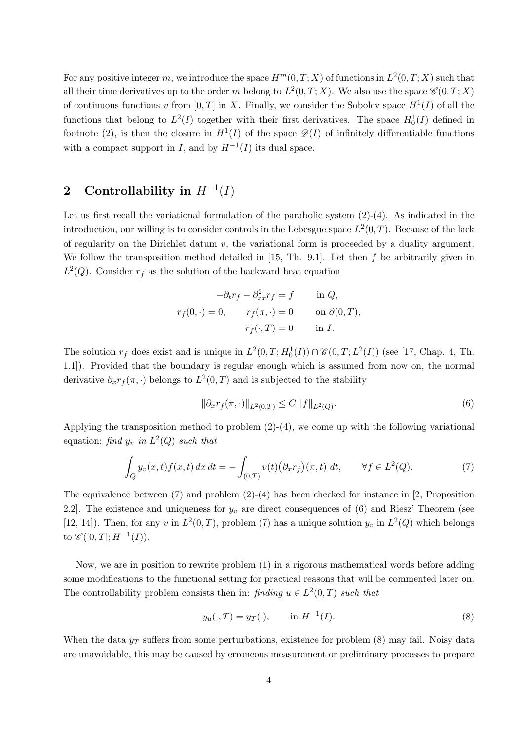For any positive integer m, we introduce the space  $H^m(0,T;X)$  of functions in  $L^2(0,T;X)$  such that all their time derivatives up to the order m belong to  $L^2(0,T;X)$ . We also use the space  $\mathscr{C}(0,T;X)$ of continuous functions v from  $[0, T]$  in X. Finally, we consider the Sobolev space  $H^1(I)$  of all the functions that belong to  $L^2(I)$  together with their first derivatives. The space  $H_0^1(I)$  defined in footnote (2), is then the closure in  $H^1(I)$  of the space  $\mathscr{D}(I)$  of infinitely differentiable functions with a compact support in I, and by  $H^{-1}(I)$  its dual space.

## 2 Controllability in  $H^{-1}(I)$

Let us first recall the variational formulation of the parabolic system  $(2)-(4)$ . As indicated in the introduction, our willing is to consider controls in the Lebesgue space  $L^2(0,T)$ . Because of the lack of regularity on the Dirichlet datum  $v$ , the variational form is proceeded by a duality argument. We follow the transposition method detailed in  $[15, Th. 9.1]$ . Let then f be arbitrarily given in  $L^2(Q)$ . Consider  $r_f$  as the solution of the backward heat equation

$$
-\partial_t r_f - \partial_{xx}^2 r_f = f \quad \text{in } Q,
$$
  

$$
r_f(0, \cdot) = 0, \quad r_f(\pi, \cdot) = 0 \quad \text{on } \partial(0, T),
$$
  

$$
r_f(\cdot, T) = 0 \quad \text{in } I.
$$

The solution  $r_f$  does exist and is unique in  $L^2(0,T; H_0^1(I)) \cap \mathcal{C}(0,T; L^2(I))$  (see [17, Chap. 4, Th. 1.1]). Provided that the boundary is regular enough which is assumed from now on, the normal derivative  $\partial_x r_f(\pi, \cdot)$  belongs to  $L^2(0,T)$  and is subjected to the stability

$$
\|\partial_x r_f(\pi,\cdot)\|_{L^2(0,T)} \le C \|f\|_{L^2(Q)}.
$$
\n(6)

Applying the transposition method to problem (2)-(4), we come up with the following variational equation: find  $y_v$  in  $L^2(Q)$  such that

$$
\int_{Q} y_v(x,t)f(x,t) dx dt = -\int_{(0,T)} v(t) \big(\partial_x r_f\big)(\pi,t) dt, \qquad \forall f \in L^2(Q).
$$
\n(7)

The equivalence between (7) and problem (2)-(4) has been checked for instance in [2, Proposition 2.2]. The existence and uniqueness for  $y_v$  are direct consequences of (6) and Riesz' Theorem (see [12, 14]). Then, for any v in  $L^2(0,T)$ , problem (7) has a unique solution  $y_v$  in  $L^2(Q)$  which belongs to  $\mathscr{C}([0,T];H^{-1}(I)).$ 

Now, we are in position to rewrite problem (1) in a rigorous mathematical words before adding some modifications to the functional setting for practical reasons that will be commented later on. The controllability problem consists then in: finding  $u \in L^2(0,T)$  such that

$$
y_u(\cdot, T) = y_T(\cdot), \quad \text{in } H^{-1}(I).
$$
 (8)

When the data  $y_T$  suffers from some perturbations, existence for problem (8) may fail. Noisy data are unavoidable, this may be caused by erroneous measurement or preliminary processes to prepare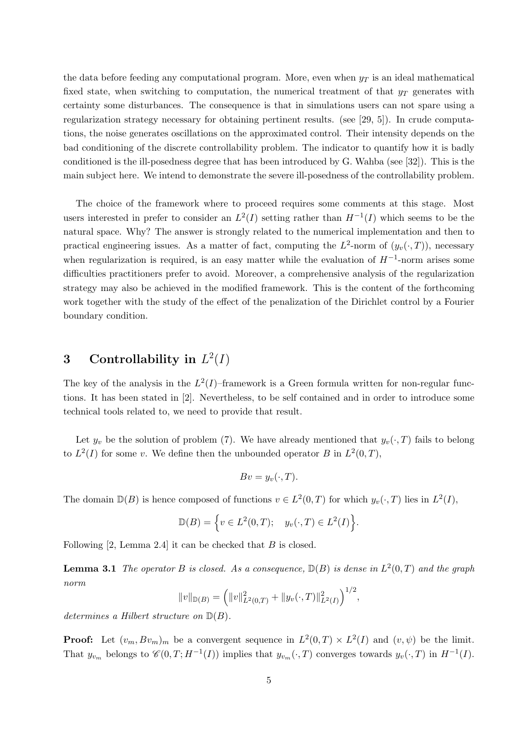the data before feeding any computational program. More, even when  $y_T$  is an ideal mathematical fixed state, when switching to computation, the numerical treatment of that  $y_T$  generates with certainty some disturbances. The consequence is that in simulations users can not spare using a regularization strategy necessary for obtaining pertinent results. (see [29, 5]). In crude computations, the noise generates oscillations on the approximated control. Their intensity depends on the bad conditioning of the discrete controllability problem. The indicator to quantify how it is badly conditioned is the ill-posedness degree that has been introduced by G. Wahba (see [32]). This is the main subject here. We intend to demonstrate the severe ill-posedness of the controllability problem.

The choice of the framework where to proceed requires some comments at this stage. Most users interested in prefer to consider an  $L^2(I)$  setting rather than  $H^{-1}(I)$  which seems to be the natural space. Why? The answer is strongly related to the numerical implementation and then to practical engineering issues. As a matter of fact, computing the  $L^2$ -norm of  $(y_v(\cdot, T))$ , necessary when regularization is required, is an easy matter while the evaluation of  $H^{-1}$ -norm arises some difficulties practitioners prefer to avoid. Moreover, a comprehensive analysis of the regularization strategy may also be achieved in the modified framework. This is the content of the forthcoming work together with the study of the effect of the penalization of the Dirichlet control by a Fourier boundary condition.

## 3 Controllability in  $L^2(I)$

The key of the analysis in the  $L^2(I)$ -framework is a Green formula written for non-regular functions. It has been stated in [2]. Nevertheless, to be self contained and in order to introduce some technical tools related to, we need to provide that result.

Let  $y_v$  be the solution of problem (7). We have already mentioned that  $y_v(\cdot, T)$  fails to belong to  $L^2(I)$  for some v. We define then the unbounded operator B in  $L^2(0,T)$ ,

$$
Bv = y_v(\cdot, T).
$$

The domain  $\mathbb{D}(B)$  is hence composed of functions  $v \in L^2(0,T)$  for which  $y_v(\cdot,T)$  lies in  $L^2(I)$ ,

$$
\mathbb{D}(B) = \Big\{ v \in L^2(0,T); \quad y_v(\cdot,T) \in L^2(I) \Big\}.
$$

Following  $[2, \text{Lemma } 2.4]$  it can be checked that  $B$  is closed.

**Lemma 3.1** The operator B is closed. As a consequence,  $\mathbb{D}(B)$  is dense in  $L^2(0,T)$  and the graph norm

$$
||v||_{\mathbb{D}(B)} = (||v||_{L^2(0,T)}^2 + ||y_v(\cdot,T)||_{L^2(I)}^2)^{1/2}
$$

,

determines a Hilbert structure on  $\mathbb{D}(B)$ .

**Proof:** Let  $(v_m, Bv_m)_m$  be a convergent sequence in  $L^2(0,T) \times L^2(I)$  and  $(v, \psi)$  be the limit. That  $y_{v_m}$  belongs to  $\mathscr{C}(0,T;H^{-1}(I))$  implies that  $y_{v_m}(\cdot,T)$  converges towards  $y_v(\cdot,T)$  in  $H^{-1}(I)$ .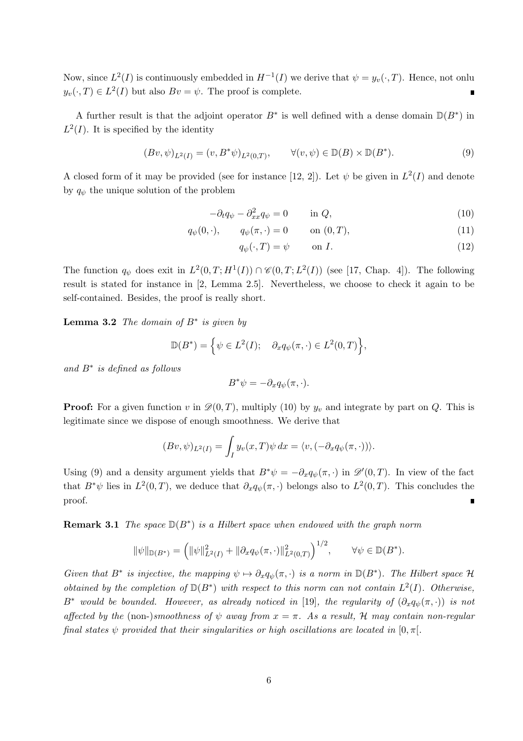Now, since  $L^2(I)$  is continuously embedded in  $H^{-1}(I)$  we derive that  $\psi = y_v(\cdot, T)$ . Hence, not onlu  $y_v(\cdot, T) \in L^2(I)$  but also  $Bv = \psi$ . The proof is complete.

A further result is that the adjoint operator  $B^*$  is well defined with a dense domain  $D(B^*)$  in  $L^2(I)$ . It is specified by the identity

$$
(Bv, \psi)_{L^2(I)} = (v, B^*\psi)_{L^2(0,T)}, \qquad \forall (v, \psi) \in \mathbb{D}(B) \times \mathbb{D}(B^*).
$$
\n
$$
(9)
$$

A closed form of it may be provided (see for instance [12, 2]). Let  $\psi$  be given in  $L^2(I)$  and denote by  $q_{\psi}$  the unique solution of the problem

$$
-\partial_t q_\psi - \partial_{xx}^2 q_\psi = 0 \qquad \text{in } Q,\tag{10}
$$

$$
q_{\psi}(0,\cdot), \qquad q_{\psi}(\pi,\cdot) = 0 \qquad \text{on } (0,T), \tag{11}
$$

$$
q_{\psi}(\cdot, T) = \psi \qquad \text{on } I. \tag{12}
$$

The function  $q_{\psi}$  does exit in  $L^2(0,T;H^1(I)) \cap \mathcal{C}(0,T;L^2(I))$  (see [17, Chap. 4]). The following result is stated for instance in [2, Lemma 2.5]. Nevertheless, we choose to check it again to be self-contained. Besides, the proof is really short.

**Lemma 3.2** The domain of  $B^*$  is given by

$$
\mathbb{D}(B^*) = \left\{ \psi \in L^2(I); \quad \partial_x q_{\psi}(\pi, \cdot) \in L^2(0, T) \right\},\
$$

and B<sup>∗</sup> is defined as follows

$$
B^*\psi = -\partial_x q_\psi(\pi,\cdot).
$$

**Proof:** For a given function v in  $\mathcal{D}(0,T)$ , multiply (10) by  $y_v$  and integrate by part on Q. This is legitimate since we dispose of enough smoothness. We derive that

$$
(Bv, \psi)_{L^2(I)} = \int_I y_v(x, T) \psi \, dx = \langle v, (-\partial_x q_{\psi}(\pi, \cdot)) \rangle.
$$

Using (9) and a density argument yields that  $B^*\psi = -\partial_x q_{\psi}(\pi, \cdot)$  in  $\mathscr{D}'(0,T)$ . In view of the fact that  $B^*\psi$  lies in  $L^2(0,T)$ , we deduce that  $\partial_x q_\psi(\pi, \cdot)$  belongs also to  $L^2(0,T)$ . This concludes the proof.

**Remark 3.1** The space  $D(B^*)$  is a Hilbert space when endowed with the graph norm

$$
\|\psi\|_{\mathbb{D}(B^*)} = \left(\|\psi\|_{L^2(I)}^2 + \|\partial_x q_{\psi}(\pi,\cdot)\|_{L^2(0,T)}^2\right)^{1/2}, \qquad \forall \psi \in \mathbb{D}(B^*).
$$

Given that  $B^*$  is injective, the mapping  $\psi \mapsto \partial_x q_{\psi}(\pi, \cdot)$  is a norm in  $\mathbb{D}(B^*)$ . The Hilbert space H obtained by the completion of  $D(B^*)$  with respect to this norm can not contain  $L^2(I)$ . Otherwise, B<sup>∗</sup> would be bounded. However, as already noticed in [19], the regularity of  $(\partial_x q_{\psi}(\pi, \cdot))$  is not affected by the (non-)smoothness of  $\psi$  away from  $x = \pi$ . As a result, H may contain non-regular final states  $\psi$  provided that their singularities or high oscillations are located in  $[0, \pi]$ .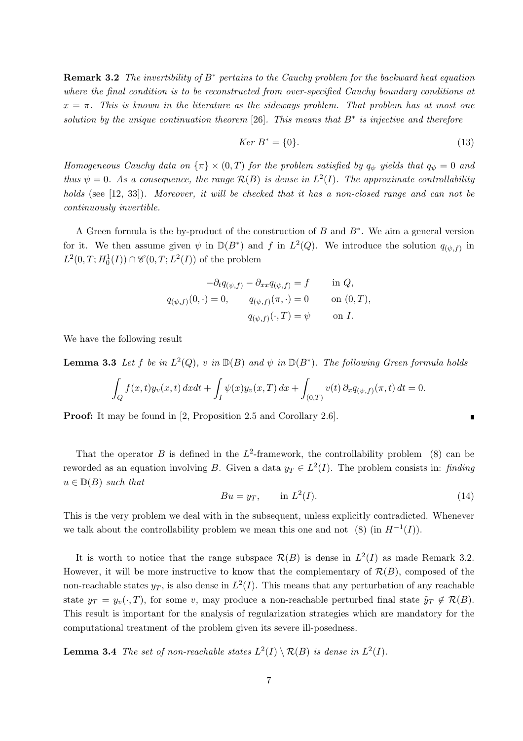**Remark 3.2** The invertibility of  $B^*$  pertains to the Cauchy problem for the backward heat equation where the final condition is to be reconstructed from over-specified Cauchy boundary conditions at  $x = \pi$ . This is known in the literature as the sideways problem. That problem has at most one solution by the unique continuation theorem [26]. This means that  $B^*$  is injective and therefore

$$
Ker B^* = \{0\}.\tag{13}
$$

Homogeneous Cauchy data on  $\{\pi\} \times (0,T)$  for the problem satisfied by  $q_{\psi}$  yields that  $q_{\psi} = 0$  and thus  $\psi = 0$ . As a consequence, the range  $\mathcal{R}(B)$  is dense in  $L^2(I)$ . The approximate controllability holds (see [12, 33]). Moreover, it will be checked that it has a non-closed range and can not be continuously invertible.

A Green formula is the by-product of the construction of B and B<sup>∗</sup> . We aim a general version for it. We then assume given  $\psi$  in  $\mathbb{D}(B^*)$  and f in  $L^2(Q)$ . We introduce the solution  $q_{(\psi,f)}$  in  $L^2(0,T;H_0^1(I)) \cap \mathscr{C}(0,T;L^2(I))$  of the problem

$$
-\partial_t q_{(\psi,f)} - \partial_{xx} q_{(\psi,f)} = f \quad \text{in } Q,
$$
  

$$
q_{(\psi,f)}(0,\cdot) = 0, \qquad q_{(\psi,f)}(\pi,\cdot) = 0 \quad \text{on } (0,T),
$$
  

$$
q_{(\psi,f)}(\cdot,T) = \psi \quad \text{on } I.
$$

We have the following result

**Lemma 3.3** Let f be in  $L^2(Q)$ , v in  $D(B)$  and  $\psi$  in  $D(B^*)$ . The following Green formula holds

$$
\int_{Q} f(x,t)y_{\nu}(x,t) dxdt + \int_{I} \psi(x)y_{\nu}(x,T) dx + \int_{(0,T)} v(t) \partial_x q_{(\psi,f)}(\pi,t) dt = 0.
$$

**Proof:** It may be found in [2, Proposition 2.5 and Corollary 2.6].

That the operator B is defined in the  $L^2$ -framework, the controllability problem (8) can be reworded as an equation involving B. Given a data  $y_T \in L^2(I)$ . The problem consists in: finding  $u \in D(B)$  such that

$$
Bu = y_T, \qquad \text{in } L^2(I). \tag{14}
$$

This is the very problem we deal with in the subsequent, unless explicitly contradicted. Whenever we talk about the controllability problem we mean this one and not (8) (in  $H^{-1}(I)$ ).

It is worth to notice that the range subspace  $\mathcal{R}(B)$  is dense in  $L^2(I)$  as made Remark 3.2. However, it will be more instructive to know that the complementary of  $\mathcal{R}(B)$ , composed of the non-reachable states  $y_T$ , is also dense in  $L^2(I)$ . This means that any perturbation of any reachable state  $y_T = y_v(\cdot, T)$ , for some v, may produce a non-reachable perturbed final state  $\tilde{y}_T \notin \mathcal{R}(B)$ . This result is important for the analysis of regularization strategies which are mandatory for the computational treatment of the problem given its severe ill-posedness.

**Lemma 3.4** The set of non-reachable states  $L^2(I) \setminus \mathcal{R}(B)$  is dense in  $L^2(I)$ .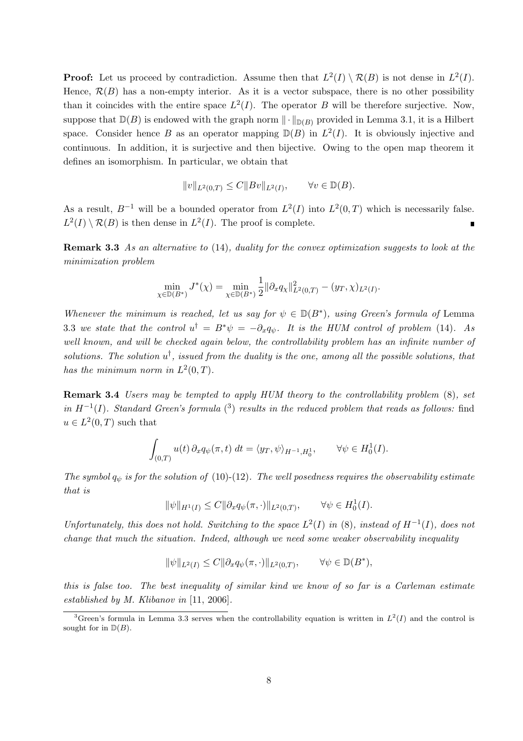**Proof:** Let us proceed by contradiction. Assume then that  $L^2(I) \setminus \mathcal{R}(B)$  is not dense in  $L^2(I)$ . Hence,  $\mathcal{R}(B)$  has a non-empty interior. As it is a vector subspace, there is no other possibility than it coincides with the entire space  $L^2(I)$ . The operator B will be therefore surjective. Now, suppose that  $D(B)$  is endowed with the graph norm  $\|\cdot\|_{D(B)}$  provided in Lemma 3.1, it is a Hilbert space. Consider hence B as an operator mapping  $D(B)$  in  $L^2(I)$ . It is obviously injective and continuous. In addition, it is surjective and then bijective. Owing to the open map theorem it defines an isomorphism. In particular, we obtain that

$$
||v||_{L^2(0,T)} \leq C||Bv||_{L^2(I)}, \quad \forall v \in \mathbb{D}(B).
$$

As a result,  $B^{-1}$  will be a bounded operator from  $L^2(I)$  into  $L^2(0,T)$  which is necessarily false.  $L^2(I) \setminus \mathcal{R}(B)$  is then dense in  $L^2(I)$ . The proof is complete.

Remark 3.3 As an alternative to (14), duality for the convex optimization suggests to look at the minimization problem

$$
\min_{\chi \in \mathbb{D}(B^*)} J^*(\chi) = \min_{\chi \in \mathbb{D}(B^*)} \frac{1}{2} ||\partial_x q_{\chi}||^2_{L^2(0,T)} - (y_T, \chi)_{L^2(I)}.
$$

Whenever the minimum is reached, let us say for  $\psi \in \mathbb{D}(B^*)$ , using Green's formula of Lemma 3.3 we state that the control  $u^{\dagger} = B^* \psi = -\partial_x q_{\psi}$ . It is the HUM control of problem (14). As well known, and will be checked again below, the controllability problem has an infinite number of solutions. The solution  $u^{\dagger}$ , issued from the duality is the one, among all the possible solutions, that has the minimum norm in  $L^2(0,T)$ .

Remark 3.4 Users may be tempted to apply HUM theory to the controllability problem  $(8)$ , set in  $H^{-1}(I)$ . Standard Green's formula (3) results in the reduced problem that reads as follows: find  $u \in L^2(0,T)$  such that

$$
\int_{(0,T)} u(t) \, \partial_x q_{\psi}(\pi, t) \, dt = \langle y_T, \psi \rangle_{H^{-1}, H_0^1}, \qquad \forall \psi \in H_0^1(I).
$$

The symbol  $q_{\psi}$  is for the solution of (10)-(12). The well posedness requires the observability estimate that is

$$
\|\psi\|_{H^1(I)} \le C \|\partial_x q_{\psi}(\pi,\cdot)\|_{L^2(0,T)}, \qquad \forall \psi \in H_0^1(I).
$$

Unfortunately, this does not hold. Switching to the space  $L^2(I)$  in (8), instead of  $H^{-1}(I)$ , does not change that much the situation. Indeed, although we need some weaker observability inequality

$$
\|\psi\|_{L^2(I)}\leq C\|\partial_x q_\psi(\pi,\cdot)\|_{L^2(0,T)},\qquad \forall \psi\in \mathbb{D}(B^*),
$$

this is false too. The best inequality of similar kind we know of so far is a Carleman estimate established by M. Klibanov in [11, 2006].

<sup>&</sup>lt;sup>3</sup>Green's formula in Lemma 3.3 serves when the controllability equation is written in  $L^2(I)$  and the control is sought for in  $D(B)$ .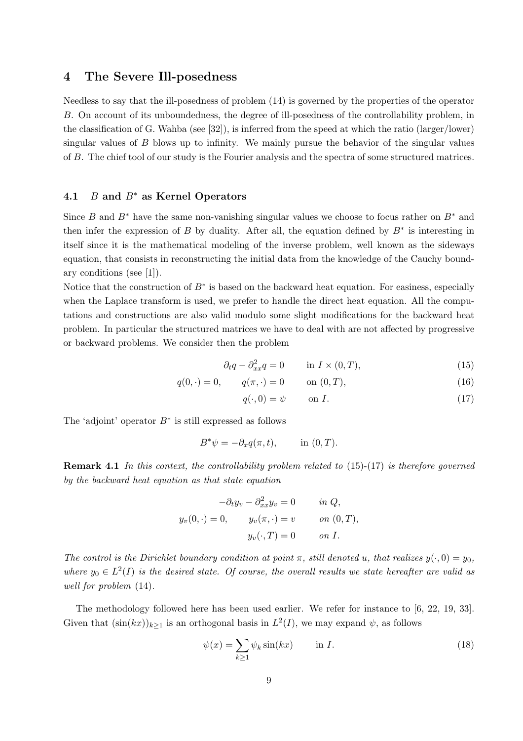#### 4 The Severe Ill-posedness

Needless to say that the ill-posedness of problem (14) is governed by the properties of the operator B. On account of its unboundedness, the degree of ill-posedness of the controllability problem, in the classification of G. Wahba (see [32]), is inferred from the speed at which the ratio (larger/lower) singular values of B blows up to infinity. We mainly pursue the behavior of the singular values of B. The chief tool of our study is the Fourier analysis and the spectra of some structured matrices.

#### 4.1 *B* and  $B^*$  as Kernel Operators

Since B and B<sup>∗</sup> have the same non-vanishing singular values we choose to focus rather on B<sup>∗</sup> and then infer the expression of B by duality. After all, the equation defined by  $B^*$  is interesting in itself since it is the mathematical modeling of the inverse problem, well known as the sideways equation, that consists in reconstructing the initial data from the knowledge of the Cauchy boundary conditions (see [1]).

Notice that the construction of  $B^*$  is based on the backward heat equation. For easiness, especially when the Laplace transform is used, we prefer to handle the direct heat equation. All the computations and constructions are also valid modulo some slight modifications for the backward heat problem. In particular the structured matrices we have to deal with are not affected by progressive or backward problems. We consider then the problem

$$
\partial_t q - \partial_{xx}^2 q = 0 \qquad \text{in } I \times (0, T), \tag{15}
$$

$$
q(0, \cdot) = 0, \qquad q(\pi, \cdot) = 0 \qquad \text{on } (0, T), \tag{16}
$$

$$
q(\cdot,0) = \psi \qquad \text{on } I. \tag{17}
$$

The 'adjoint' operator  $B^*$  is still expressed as follows

$$
B^*\psi = -\partial_x q(\pi, t), \quad \text{in } (0, T).
$$

Remark 4.1 In this context, the controllability problem related to (15)-(17) is therefore governed by the backward heat equation as that state equation

$$
-\partial_t y_v - \partial_{xx}^2 y_v = 0 \quad in Q,
$$
  

$$
y_v(0, \cdot) = 0, \quad y_v(\pi, \cdot) = v \quad on (0, T),
$$
  

$$
y_v(\cdot, T) = 0 \quad on I.
$$

The control is the Dirichlet boundary condition at point  $\pi$ , still denoted u, that realizes  $y(\cdot, 0) = y_0$ , where  $y_0 \in L^2(I)$  is the desired state. Of course, the overall results we state hereafter are valid as well for problem (14).

The methodology followed here has been used earlier. We refer for instance to [6, 22, 19, 33]. Given that  $(\sin(kx))_{k\geq 1}$  is an orthogonal basis in  $L^2(I)$ , we may expand  $\psi$ , as follows

$$
\psi(x) = \sum_{k \ge 1} \psi_k \sin(kx) \qquad \text{in } I. \tag{18}
$$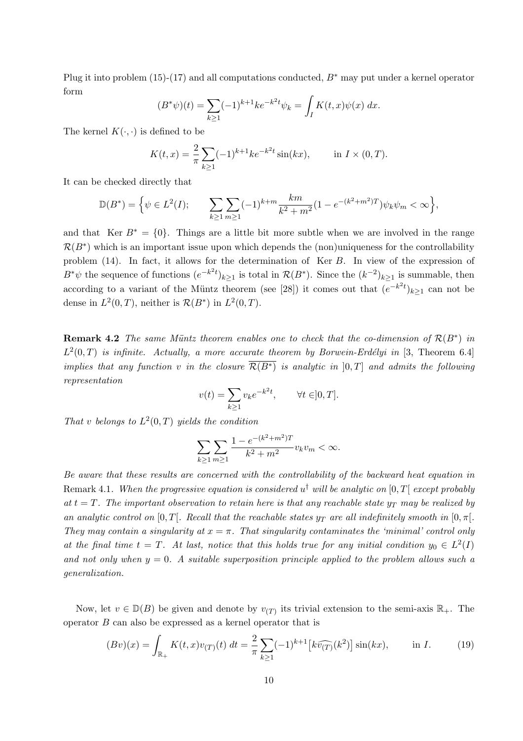Plug it into problem (15)-(17) and all computations conducted,  $B^*$  may put under a kernel operator form

$$
(B^*\psi)(t) = \sum_{k\geq 1} (-1)^{k+1} k e^{-k^2 t} \psi_k = \int_I K(t, x) \psi(x) \, dx.
$$

The kernel  $K(\cdot, \cdot)$  is defined to be

$$
K(t,x) = \frac{2}{\pi} \sum_{k \ge 1} (-1)^{k+1} k e^{-k^2 t} \sin(kx), \quad \text{in } I \times (0,T).
$$

It can be checked directly that

$$
\mathbb{D}(B^*) = \Big\{ \psi \in L^2(I); \qquad \sum_{k \ge 1} \sum_{m \ge 1} (-1)^{k+m} \frac{km}{k^2 + m^2} (1 - e^{-(k^2 + m^2)T}) \psi_k \psi_m < \infty \Big\},
$$

and that Ker  $B^* = \{0\}$ . Things are a little bit more subtle when we are involved in the range  $\mathcal{R}(B^*)$  which is an important issue upon which depends the (non)uniqueness for the controllability problem (14). In fact, it allows for the determination of Ker B. In view of the expression of  $B^*\psi$  the sequence of functions  $(e^{-k^2t})_{k\geq 1}$  is total in  $\mathcal{R}(B^*)$ . Since the  $(k^{-2})_{k\geq 1}$  is summable, then according to a variant of the Müntz theorem (see [28]) it comes out that  $(e^{-k^2t})_{k\geq 1}$  can not be dense in  $L^2(0,T)$ , neither is  $\mathcal{R}(B^*)$  in  $L^2(0,T)$ .

**Remark 4.2** The same Müntz theorem enables one to check that the co-dimension of  $\mathcal{R}(B^*)$  in  $L^2(0,T)$  is infinite. Actually, a more accurate theorem by Borwein-Erdélyi in [3, Theorem 6.4] implies that any function v in the closure  $\overline{\mathcal{R}(B^*)}$  is analytic in  $[0,T]$  and admits the following representation

$$
v(t) = \sum_{k \ge 1} v_k e^{-k^2 t}, \qquad \forall t \in ]0, T].
$$

That v belongs to  $L^2(0,T)$  yields the condition

$$
\sum_{k\geq 1}\sum_{m\geq 1}\frac{1-e^{-(k^2+m^2)T}}{k^2+m^2}v_k v_m <\infty.
$$

Be aware that these results are concerned with the controllability of the backward heat equation in Remark 4.1. When the progressive equation is considered  $u^{\dagger}$  will be analytic on  $[0,T[$  except probably at  $t = T$ . The important observation to retain here is that any reachable state  $y_T$  may be realized by an analytic control on  $[0, T]$ . Recall that the reachable states  $y_T$  are all indefinitely smooth in  $[0, \pi]$ . They may contain a singularity at  $x = \pi$ . That singularity contaminates the 'minimal' control only at the final time  $t = T$ . At last, notice that this holds true for any initial condition  $y_0 \in L^2(I)$ and not only when  $y = 0$ . A suitable superposition principle applied to the problem allows such a generalization.

Now, let  $v \in D(B)$  be given and denote by  $v(T)$  its trivial extension to the semi-axis  $\mathbb{R}_+$ . The operator B can also be expressed as a kernel operator that is

$$
(Bv)(x) = \int_{\mathbb{R}_+} K(t, x)v_{(T)}(t) dt = \frac{2}{\pi} \sum_{k \ge 1} (-1)^{k+1} \left[ k \widehat{v_{(T)}}(k^2) \right] \sin(kx), \quad \text{in } I. \tag{19}
$$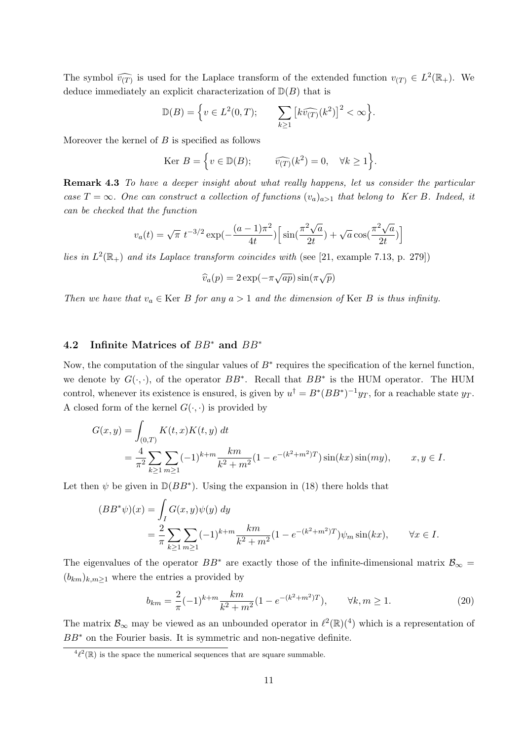The symbol  $\widehat{v_{(T)}}$  is used for the Laplace transform of the extended function  $v_{(T)} \in L^2(\mathbb{R}_+)$ . We deduce immediately an explicit characterization of  $D(B)$  that is

$$
\mathbb{D}(B) = \left\{ v \in L^2(0,T); \qquad \sum_{k \ge 1} \left[ k \widehat{v_{(T)}}(k^2) \right]^2 < \infty \right\}.
$$

Moreover the kernel of  $B$  is specified as follows

$$
\text{Ker } B = \left\{ v \in \mathbb{D}(B); \qquad \widehat{v_{(T)}}(k^2) = 0, \quad \forall k \ge 1 \right\}.
$$

Remark 4.3 To have a deeper insight about what really happens, let us consider the particular case  $T = \infty$ . One can construct a collection of functions  $(v_a)_{a>1}$  that belong to Ker B. Indeed, it can be checked that the function

$$
v_a(t) = \sqrt{\pi} \ t^{-3/2} \exp(-\frac{(a-1)\pi^2}{4t}) \left[ \sin(\frac{\pi^2 \sqrt{a}}{2t}) + \sqrt{a} \cos(\frac{\pi^2 \sqrt{a}}{2t}) \right]
$$

lies in  $L^2(\mathbb{R}_+)$  and its Laplace transform coincides with (see [21, example 7.13, p. 279])

$$
\widehat{v}_a(p) = 2 \exp(-\pi \sqrt{ap}) \sin(\pi \sqrt{p})
$$

Then we have that  $v_a \in \text{Ker } B$  for any  $a > 1$  and the dimension of Ker B is thus infinity.

#### 4.2 Infinite Matrices of BB<sup>∗</sup> and BB<sup>∗</sup>

Now, the computation of the singular values of  $B^*$  requires the specification of the kernel function, we denote by  $G(\cdot, \cdot)$ , of the operator  $BB^*$ . Recall that  $BB^*$  is the HUM operator. The HUM control, whenever its existence is ensured, is given by  $u^{\dagger} = B^*(BB^*)^{-1}y_T$ , for a reachable state  $y_T$ . A closed form of the kernel  $G(\cdot, \cdot)$  is provided by

$$
G(x,y) = \int_{(0,T)} K(t,x)K(t,y) dt
$$
  
=  $\frac{4}{\pi^2} \sum_{k \ge 1} \sum_{m \ge 1} (-1)^{k+m} \frac{km}{k^2 + m^2} (1 - e^{-(k^2 + m^2)T}) \sin(kx) \sin(my), \qquad x, y \in I.$ 

Let then  $\psi$  be given in  $\mathbb{D}(BB^*)$ . Using the expansion in (18) there holds that

$$
(BB^*\psi)(x) = \int_I G(x, y)\psi(y) dy
$$
  
=  $\frac{2}{\pi} \sum_{k \ge 1} \sum_{m \ge 1} (-1)^{k+m} \frac{km}{k^2 + m^2} (1 - e^{-(k^2 + m^2)T}) \psi_m \sin(kx), \qquad \forall x \in I.$ 

The eigenvalues of the operator  $BB^*$  are exactly those of the infinite-dimensional matrix  $\mathcal{B}_{\infty} =$  $(b_{km})_{k,m>1}$  where the entries a provided by

$$
b_{km} = \frac{2}{\pi}(-1)^{k+m} \frac{km}{k^2 + m^2} (1 - e^{-(k^2 + m^2)T}), \qquad \forall k, m \ge 1.
$$
 (20)

The matrix  $\mathcal{B}_{\infty}$  may be viewed as an unbounded operator in  $\ell^2(\mathbb{R})$  which is a representation of BB<sup>∗</sup> on the Fourier basis. It is symmetric and non-negative definite.

 ${}^{4}\ell^{2}(\mathbb{R})$  is the space the numerical sequences that are square summable.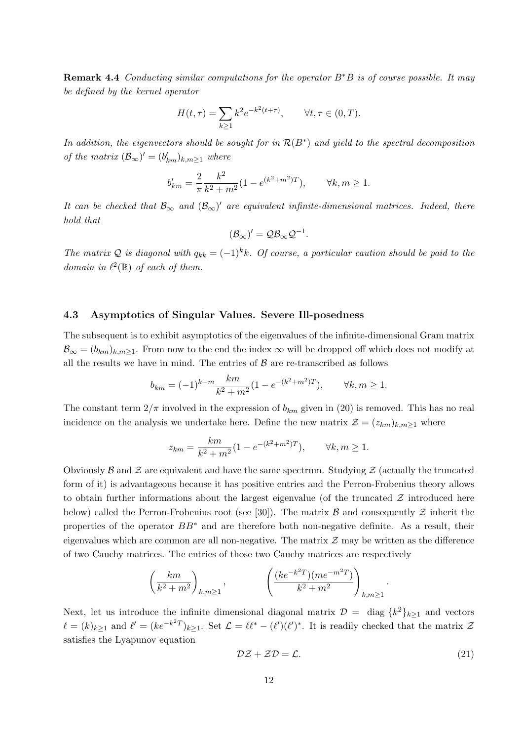**Remark 4.4** Conducting similar computations for the operator  $B^*B$  is of course possible. It may be defined by the kernel operator

$$
H(t,\tau) = \sum_{k \ge 1} k^2 e^{-k^2(t+\tau)}, \qquad \forall t, \tau \in (0,T).
$$

In addition, the eigenvectors should be sought for in  $\mathcal{R}(B^*)$  and yield to the spectral decomposition of the matrix  $(\mathcal{B}_{\infty})' = (b'_{km})_{k,m \geq 1}$  where

$$
b'_{km} = \frac{2}{\pi} \frac{k^2}{k^2 + m^2} (1 - e^{(k^2 + m^2)T}), \qquad \forall k, m \ge 1.
$$

It can be checked that  $\mathcal{B}_{\infty}$  and  $(\mathcal{B}_{\infty})'$  are equivalent infinite-dimensional matrices. Indeed, there hold that

$$
(\mathcal{B}_{\infty})' = \mathcal{Q}\mathcal{B}_{\infty}\mathcal{Q}^{-1}.
$$

The matrix Q is diagonal with  $q_{kk} = (-1)^k k$ . Of course, a particular caution should be paid to the domain in  $\ell^2(\mathbb{R})$  of each of them.

#### 4.3 Asymptotics of Singular Values. Severe Ill-posedness

The subsequent is to exhibit asymptotics of the eigenvalues of the infinite-dimensional Gram matrix  $\mathcal{B}_{\infty} = (b_{km})_{k,m \geq 1}$ . From now to the end the index  $\infty$  will be dropped off which does not modify at all the results we have in mind. The entries of  $\beta$  are re-transcribed as follows

$$
b_{km} = (-1)^{k+m} \frac{km}{k^2 + m^2} (1 - e^{-(k^2 + m^2)T}), \qquad \forall k, m \ge 1.
$$

The constant term  $2/\pi$  involved in the expression of  $b_{km}$  given in (20) is removed. This has no real incidence on the analysis we undertake here. Define the new matrix  $\mathcal{Z} = (z_{km})_{k,m \geq 1}$  where

$$
z_{km} = \frac{km}{k^2 + m^2} (1 - e^{-(k^2 + m^2)T}), \qquad \forall k, m \ge 1.
$$

Obviously  $\beta$  and  $\beta$  are equivalent and have the same spectrum. Studying  $\beta$  (actually the truncated form of it) is advantageous because it has positive entries and the Perron-Frobenius theory allows to obtain further informations about the largest eigenvalue (of the truncated  $\mathcal Z$  introduced here below) called the Perron-Frobenius root (see [30]). The matrix  $\beta$  and consequently  $\mathcal Z$  inherit the properties of the operator  $BB^*$  and are therefore both non-negative definite. As a result, their eigenvalues which are common are all non-negative. The matrix  $\mathcal Z$  may be written as the difference of two Cauchy matrices. The entries of those two Cauchy matrices are respectively

$$
\left(\frac{km}{k^2+m^2}\right)_{k,m\geq 1},\qquad \qquad \left(\frac{(ke^{-k^2T})(me^{-m^2T})}{k^2+m^2}\right)_{k,m\geq 1}
$$

Next, let us introduce the infinite dimensional diagonal matrix  $\mathcal{D} = \text{diag } \{k^2\}_{k \geq 1}$  and vectors  $\ell = (k)_{k\geq 1}$  and  $\ell' = (ke^{-k^2T})_{k\geq 1}$ . Set  $\mathcal{L} = \ell\ell^* - (\ell')(\ell')^*$ . It is readily checked that the matrix  $\mathcal{Z}$ satisfies the Lyapunov equation

$$
\mathcal{DZ} + \mathcal{ZD} = \mathcal{L}.\tag{21}
$$

.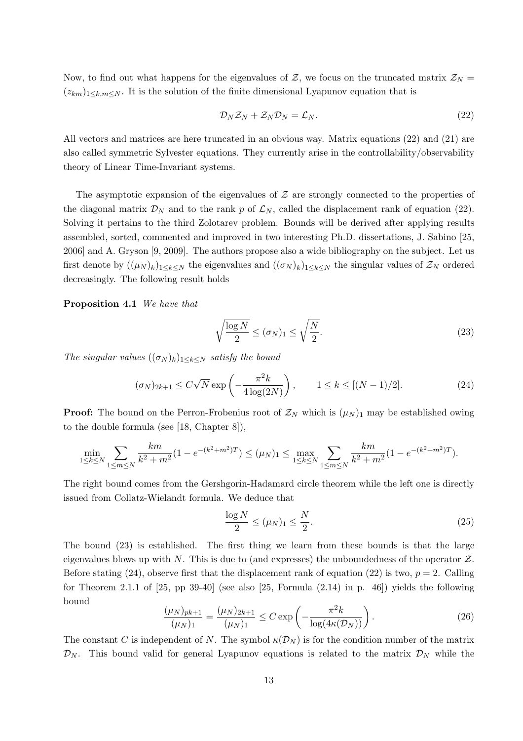Now, to find out what happens for the eigenvalues of  $\mathcal{Z}$ , we focus on the truncated matrix  $\mathcal{Z}_N =$  $(z_{km})_{1\leq k,m\leq N}$ . It is the solution of the finite dimensional Lyapunov equation that is

$$
\mathcal{D}_N \mathcal{Z}_N + \mathcal{Z}_N \mathcal{D}_N = \mathcal{L}_N. \tag{22}
$$

All vectors and matrices are here truncated in an obvious way. Matrix equations (22) and (21) are also called symmetric Sylvester equations. They currently arise in the controllability/observability theory of Linear Time-Invariant systems.

The asymptotic expansion of the eigenvalues of  $\mathcal Z$  are strongly connected to the properties of the diagonal matrix  $\mathcal{D}_N$  and to the rank p of  $\mathcal{L}_N$ , called the displacement rank of equation (22). Solving it pertains to the third Zolotarev problem. Bounds will be derived after applying results assembled, sorted, commented and improved in two interesting Ph.D. dissertations, J. Sabino [25, 2006] and A. Gryson [9, 2009]. The authors propose also a wide bibliography on the subject. Let us first denote by  $((\mu_N)_k)_{1\leq k\leq N}$  the eigenvalues and  $((\sigma_N)_k)_{1\leq k\leq N}$  the singular values of  $\mathcal{Z}_N$  ordered decreasingly. The following result holds

Proposition 4.1 We have that

$$
\sqrt{\frac{\log N}{2}} \le (\sigma_N)_1 \le \sqrt{\frac{N}{2}}.\tag{23}
$$

The singular values  $((\sigma_N)_k)_{1\leq k\leq N}$  satisfy the bound

$$
(\sigma_N)_{2k+1} \le C\sqrt{N} \exp\left(-\frac{\pi^2 k}{4\log(2N)}\right), \qquad 1 \le k \le [(N-1)/2]. \tag{24}
$$

**Proof:** The bound on the Perron-Frobenius root of  $\mathcal{Z}_N$  which is  $(\mu_N)_1$  may be established owing to the double formula (see [18, Chapter 8]),

$$
\min_{1 \le k \le N} \sum_{1 \le m \le N} \frac{km}{k^2 + m^2} (1 - e^{-(k^2 + m^2)T}) \le (\mu_N)_1 \le \max_{1 \le k \le N} \sum_{1 \le m \le N} \frac{km}{k^2 + m^2} (1 - e^{-(k^2 + m^2)T}).
$$

The right bound comes from the Gershgorin-Hadamard circle theorem while the left one is directly issued from Collatz-Wielandt formula. We deduce that

$$
\frac{\log N}{2} \le (\mu_N)_1 \le \frac{N}{2}.\tag{25}
$$

The bound (23) is established. The first thing we learn from these bounds is that the large eigenvalues blows up with N. This is due to (and expresses) the unboundedness of the operator  $Z$ . Before stating (24), observe first that the displacement rank of equation (22) is two,  $p = 2$ . Calling for Theorem 2.1.1 of  $[25, pp 39-40]$  (see also  $[25, Formula (2.14) in p. 46]$ ) yields the following bound

$$
\frac{(\mu_N)_{pk+1}}{(\mu_N)_1} = \frac{(\mu_N)_{2k+1}}{(\mu_N)_1} \le C \exp\left(-\frac{\pi^2 k}{\log(4\kappa(\mathcal{D}_N))}\right).
$$
\n(26)

The constant C is independent of N. The symbol  $\kappa(\mathcal{D}_N)$  is for the condition number of the matrix  $\mathcal{D}_N$ . This bound valid for general Lyapunov equations is related to the matrix  $\mathcal{D}_N$  while the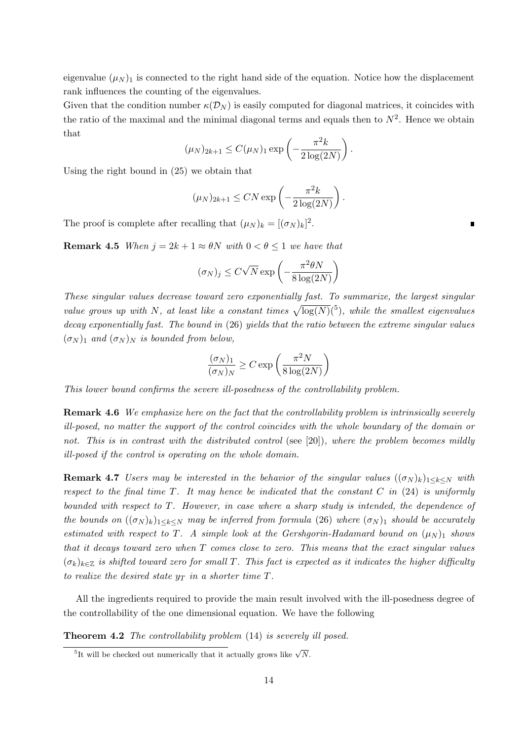eigenvalue  $(\mu_N)_1$  is connected to the right hand side of the equation. Notice how the displacement rank influences the counting of the eigenvalues.

Given that the condition number  $\kappa(\mathcal{D}_N)$  is easily computed for diagonal matrices, it coincides with the ratio of the maximal and the minimal diagonal terms and equals then to  $N^2$ . Hence we obtain that

$$
(\mu_N)_{2k+1} \leq C(\mu_N)_1 \exp\left(-\frac{\pi^2 k}{2\log(2N)}\right).
$$

Using the right bound in (25) we obtain that

$$
(\mu_N)_{2k+1} \le CN \exp\left(-\frac{\pi^2 k}{2\log(2N)}\right).
$$

The proof is complete after recalling that  $(\mu_N)_k = [(\sigma_N)_k]^2$ .

**Remark 4.5** When  $i = 2k + 1 \approx \theta N$  with  $0 < \theta < 1$  we have that

$$
(\sigma_N)_j \le C\sqrt{N} \exp\left(-\frac{\pi^2 \theta N}{8 \log(2N)}\right)
$$

These singular values decrease toward zero exponentially fast. To summarize, the largest singular value grows up with N, at least like a constant times  $\sqrt{\log(N)}$ (5), while the smallest eigenvalues decay exponentially fast. The bound in (26) yields that the ratio between the extreme singular values  $(\sigma_N)_1$  and  $(\sigma_N)_N$  is bounded from below,

$$
\frac{(\sigma_N)_1}{(\sigma_N)_N} \geq C \exp\left(\frac{\pi^2 N}{8\log(2N)}\right)
$$

This lower bound confirms the severe ill-posedness of the controllability problem.

Remark 4.6 We emphasize here on the fact that the controllability problem is intrinsically severely ill-posed, no matter the support of the control coincides with the whole boundary of the domain or not. This is in contrast with the distributed control (see [20]), where the problem becomes mildly ill-posed if the control is operating on the whole domain.

**Remark 4.7** Users may be interested in the behavior of the singular values  $((\sigma_N)_k)_{1\leq k\leq N}$  with respect to the final time  $T$ . It may hence be indicated that the constant  $C$  in (24) is uniformly bounded with respect to T. However, in case where a sharp study is intended, the dependence of the bounds on  $((\sigma_N)_k)_{1\leq k\leq N}$  may be inferred from formula (26) where  $(\sigma_N)_1$  should be accurately estimated with respect to T. A simple look at the Gershgorin-Hadamard bound on  $(\mu_N)_1$  shows that it decays toward zero when T comes close to zero. This means that the exact singular values  $(\sigma_k)_{k\in\mathbb{Z}}$  is shifted toward zero for small T. This fact is expected as it indicates the higher difficulty to realize the desired state  $y_T$  in a shorter time  $T$ .

All the ingredients required to provide the main result involved with the ill-posedness degree of the controllability of the one dimensional equation. We have the following

**Theorem 4.2** The controllability problem (14) is severely ill posed.

<sup>&</sup>lt;sup>5</sup>It will be checked out numerically that it actually grows like  $\sqrt{N}$ .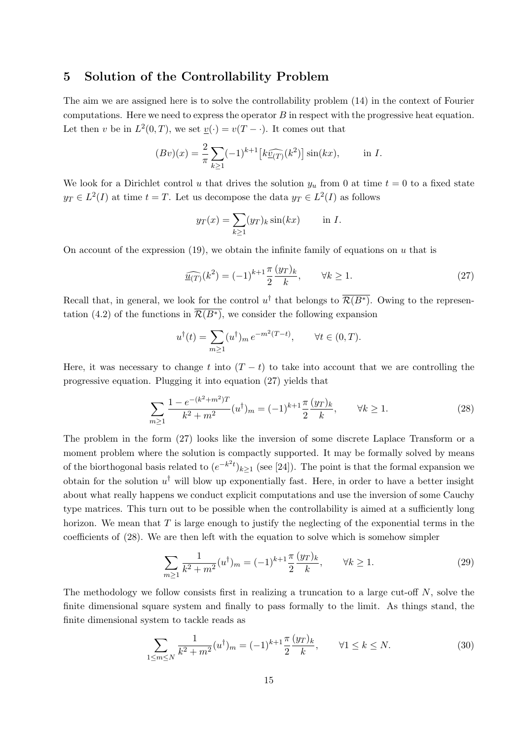#### 5 Solution of the Controllability Problem

The aim we are assigned here is to solve the controllability problem (14) in the context of Fourier computations. Here we need to express the operator  $B$  in respect with the progressive heat equation. Let then v be in  $L^2(0,T)$ , we set  $\underline{v}(\cdot) = v(T - \cdot)$ . It comes out that

$$
(Bv)(x) = \frac{2}{\pi} \sum_{k \ge 1} (-1)^{k+1} \left[ k \widehat{\underline{v}_{(T)}}(k^2) \right] \sin(kx), \quad \text{in } I.
$$

We look for a Dirichlet control u that drives the solution  $y_u$  from 0 at time  $t = 0$  to a fixed state  $y_T \in L^2(I)$  at time  $t = T$ . Let us decompose the data  $y_T \in L^2(I)$  as follows

$$
y_T(x) = \sum_{k \ge 1} (y_T)_k \sin(kx) \quad \text{in } I.
$$

On account of the expression  $(19)$ , we obtain the infinite family of equations on u that is

$$
\widehat{\underline{u}_{(T)}}(k^2) = (-1)^{k+1} \frac{\pi}{2} \frac{(y_T)_k}{k}, \qquad \forall k \ge 1.
$$
\n
$$
(27)
$$

Recall that, in general, we look for the control  $u^{\dagger}$  that belongs to  $\overline{\mathcal{R}(B^*)}$ . Owing to the representation (4.2) of the functions in  $\overline{\mathcal{R}(B^*)}$ , we consider the following expansion

$$
u^{\dagger}(t) = \sum_{m \ge 1} (u^{\dagger})_m e^{-m^2(T-t)}, \quad \forall t \in (0, T).
$$

Here, it was necessary to change t into  $(T - t)$  to take into account that we are controlling the progressive equation. Plugging it into equation (27) yields that

$$
\sum_{m\geq 1} \frac{1 - e^{-(k^2 + m^2)T}}{k^2 + m^2} (u^\dagger)_m = (-1)^{k+1} \frac{\pi}{2} \frac{(y_T)_k}{k}, \qquad \forall k \geq 1.
$$
 (28)

The problem in the form (27) looks like the inversion of some discrete Laplace Transform or a moment problem where the solution is compactly supported. It may be formally solved by means of the biorthogonal basis related to  $(e^{-k^2t})_{k\geq 1}$  (see [24]). The point is that the formal expansion we obtain for the solution  $u^{\dagger}$  will blow up exponentially fast. Here, in order to have a better insight about what really happens we conduct explicit computations and use the inversion of some Cauchy type matrices. This turn out to be possible when the controllability is aimed at a sufficiently long horizon. We mean that  $T$  is large enough to justify the neglecting of the exponential terms in the coefficients of (28). We are then left with the equation to solve which is somehow simpler

$$
\sum_{m\geq 1} \frac{1}{k^2 + m^2} (u^\dagger)_m = (-1)^{k+1} \frac{\pi}{2} \frac{(y_T)_k}{k}, \qquad \forall k \geq 1.
$$
 (29)

The methodology we follow consists first in realizing a truncation to a large cut-off  $N$ , solve the finite dimensional square system and finally to pass formally to the limit. As things stand, the finite dimensional system to tackle reads as

$$
\sum_{1 \le m \le N} \frac{1}{k^2 + m^2} (u^\dagger)_m = (-1)^{k+1} \frac{\pi}{2} \frac{(y_T)_k}{k}, \qquad \forall 1 \le k \le N. \tag{30}
$$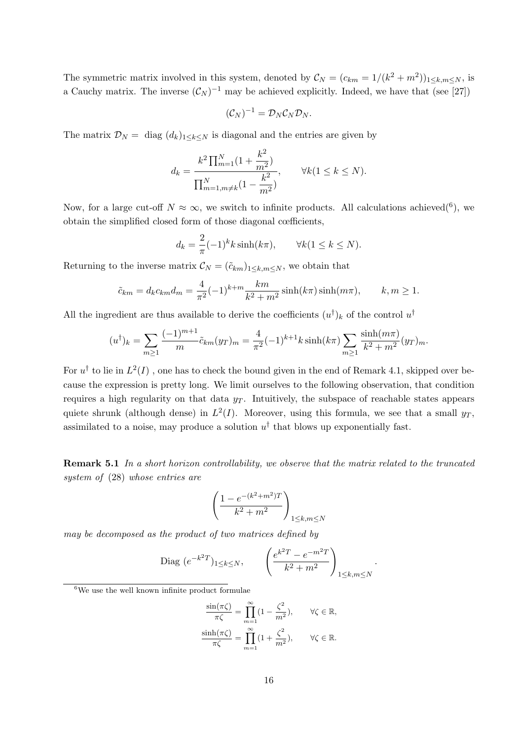The symmetric matrix involved in this system, denoted by  $\mathcal{C}_N = (c_{km} = 1/(k^2 + m^2))_{1 \leq k,m \leq N}$ , is a Cauchy matrix. The inverse  $(C_N)^{-1}$  may be achieved explicitly. Indeed, we have that (see [27])

$$
(\mathcal{C}_N)^{-1}=\mathcal{D}_N\mathcal{C}_N\mathcal{D}_N.
$$

The matrix  $\mathcal{D}_N = \text{diag}(d_k)_{1 \leq k \leq N}$  is diagonal and the entries are given by

$$
d_k = \frac{k^2 \prod_{m=1}^N (1 + \frac{k^2}{m^2})}{\prod_{m=1,m \neq k}^N (1 - \frac{k^2}{m^2})}, \quad \forall k (1 \le k \le N).
$$

Now, for a large cut-off  $N \approx \infty$ , we switch to infinite products. All calculations achieved(<sup>6</sup>), we obtain the simplified closed form of those diagonal cœfficients,

$$
d_k = \frac{2}{\pi}(-1)^k k \sinh(k\pi), \qquad \forall k (1 \le k \le N).
$$

Returning to the inverse matrix  $\mathcal{C}_N = (\tilde{c}_{km})_{1 \leq k,m \leq N}$ , we obtain that

$$
\tilde{c}_{km} = d_k c_{km} d_m = \frac{4}{\pi^2} (-1)^{k+m} \frac{km}{k^2 + m^2} \sinh(k\pi) \sinh(m\pi), \qquad k, m \ge 1.
$$

All the ingredient are thus available to derive the coefficients  $(u^{\dagger})_k$  of the control  $u^{\dagger}$ 

$$
(u^{\dagger})_k = \sum_{m \ge 1} \frac{(-1)^{m+1}}{m} \tilde{c}_{km}(y_T)_m = \frac{4}{\pi^2} (-1)^{k+1} k \sinh(k\pi) \sum_{m \ge 1} \frac{\sinh(m\pi)}{k^2 + m^2} (y_T)_m.
$$

For  $u^{\dagger}$  to lie in  $L^2(I)$  , one has to check the bound given in the end of Remark 4.1, skipped over because the expression is pretty long. We limit ourselves to the following observation, that condition requires a high regularity on that data  $y_T$ . Intuitively, the subspace of reachable states appears quiete shrunk (although dense) in  $L^2(I)$ . Moreover, using this formula, we see that a small  $y_T$ , assimilated to a noise, may produce a solution  $u^{\dagger}$  that blows up exponentially fast.

Remark 5.1 In a short horizon controllability, we observe that the matrix related to the truncated system of (28) whose entries are

$$
\left(\frac{1-e^{-(k^2+m^2)T}}{k^2+m^2}\right)_{1\leq k,m\leq N}
$$

may be decomposed as the product of two matrices defined by

Diag 
$$
(e^{-k^2T})_{1 \le k \le N}
$$
,  $\left(\frac{e^{k^2T} - e^{-m^2T}}{k^2 + m^2}\right)_{1 \le k, m \le N}$ .

 ${}^{6}$ We use the well known infinite product formulae

$$
\frac{\sin(\pi\zeta)}{\pi\zeta} = \prod_{m=1}^{\infty} (1 - \frac{\zeta^2}{m^2}), \qquad \forall \zeta \in \mathbb{R},
$$

$$
\frac{\sinh(\pi\zeta)}{\pi\zeta} = \prod_{m=1}^{\infty} (1 + \frac{\zeta^2}{m^2}), \qquad \forall \zeta \in \mathbb{R}.
$$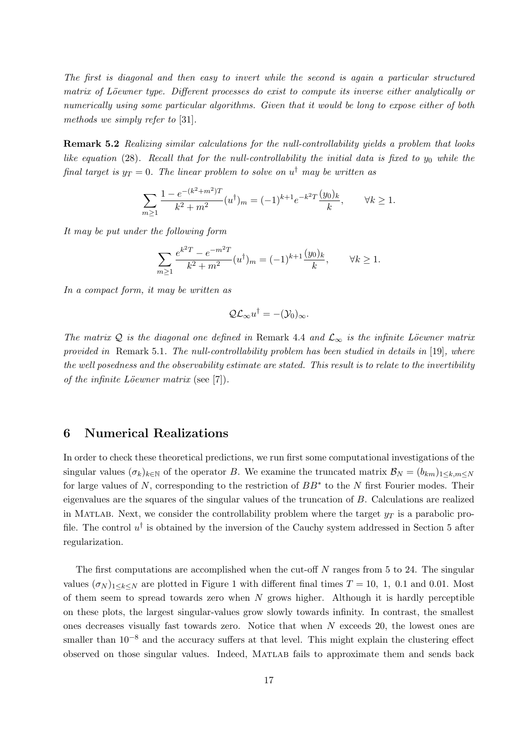The first is diagonal and then easy to invert while the second is again a particular structured matrix of Löewner type. Different processes do exist to compute its inverse either analytically or numerically using some particular algorithms. Given that it would be long to expose either of both methods we simply refer to [31].

Remark 5.2 Realizing similar calculations for the null-controllability yields a problem that looks like equation (28). Recall that for the null-controllability the initial data is fixed to  $y_0$  while the final target is  $y_T = 0$ . The linear problem to solve on  $u^{\dagger}$  may be written as

$$
\sum_{m\geq 1} \frac{1 - e^{-(k^2 + m^2)T}}{k^2 + m^2} (u^{\dagger})_m = (-1)^{k+1} e^{-k^2 T} \frac{(y_0)_k}{k}, \qquad \forall k \geq 1.
$$

It may be put under the following form

$$
\sum_{m\geq 1} \frac{e^{k^2 T} - e^{-m^2 T}}{k^2 + m^2} (u^{\dagger})_m = (-1)^{k+1} \frac{(y_0)_k}{k}, \qquad \forall k \geq 1.
$$

In a compact form, it may be written as

$$
\mathcal{Q}\mathcal{L}_{\infty}u^{\dagger}=-(\mathcal{Y}_0)_{\infty}.
$$

The matrix Q is the diagonal one defined in Remark 4.4 and  $\mathcal{L}_{\infty}$  is the infinite Löewner matrix provided in Remark 5.1. The null-controllability problem has been studied in details in [19], where the well posedness and the observability estimate are stated. This result is to relate to the invertibility of the infinite Löewner matrix (see  $[7]$ ).

#### 6 Numerical Realizations

In order to check these theoretical predictions, we run first some computational investigations of the singular values  $(\sigma_k)_{k\in\mathbb{N}}$  of the operator B. We examine the truncated matrix  $\mathcal{B}_N = (b_{km})_{1\leq k,m\leq N}$ for large values of  $N$ , corresponding to the restriction of  $BB^*$  to the  $N$  first Fourier modes. Their eigenvalues are the squares of the singular values of the truncation of B. Calculations are realized in MATLAB. Next, we consider the controllability problem where the target  $y_T$  is a parabolic profile. The control  $u^{\dagger}$  is obtained by the inversion of the Cauchy system addressed in Section 5 after regularization.

The first computations are accomplished when the cut-off  $N$  ranges from 5 to 24. The singular values  $(\sigma_N)_{1\leq k\leq N}$  are plotted in Figure 1 with different final times  $T=10, 1, 0.1$  and 0.01. Most of them seem to spread towards zero when  $N$  grows higher. Although it is hardly perceptible on these plots, the largest singular-values grow slowly towards infinity. In contrast, the smallest ones decreases visually fast towards zero. Notice that when N exceeds 20, the lowest ones are smaller than  $10^{-8}$  and the accuracy suffers at that level. This might explain the clustering effect observed on those singular values. Indeed, Matlab fails to approximate them and sends back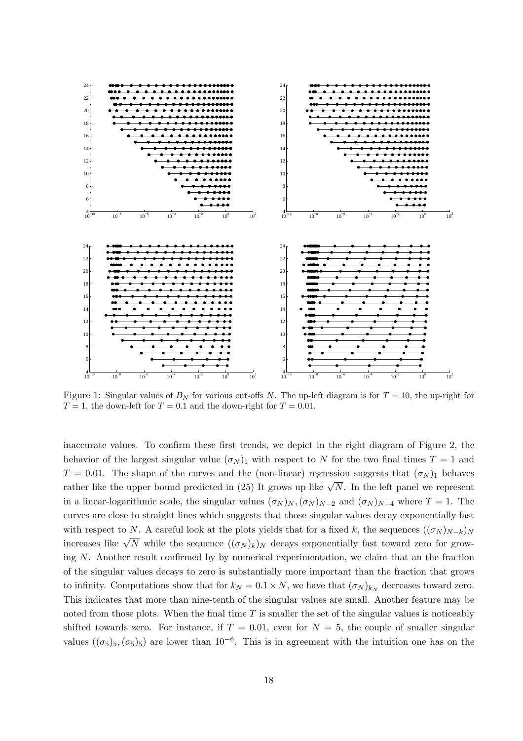

Figure 1: Singular values of  $B<sub>N</sub>$  for various cut-offs N. The up-left diagram is for  $T = 10$ , the up-right for  $T = 1$ , the down-left for  $T = 0.1$  and the down-right for  $T = 0.01$ .

inaccurate values. To confirm these first trends, we depict in the right diagram of Figure 2, the behavior of the largest singular value  $(\sigma_N)_1$  with respect to N for the two final times  $T = 1$  and  $T = 0.01$ . The shape of the curves and the (non-linear) regression suggests that  $(\sigma_N)_1$  behaves rather like the upper bound predicted in (25) It grows up like  $\sqrt{N}$ . In the left panel we represent in a linear-logarithmic scale, the singular values  $(\sigma_N)_{N}$ ,  $(\sigma_N)_{N-2}$  and  $(\sigma_N)_{N-4}$  where  $T = 1$ . The curves are close to straight lines which suggests that those singular values decay exponentially fast with respect to N. A careful look at the plots yields that for a fixed k, the sequences  $((\sigma_N)_{N-k})_N$ increases like  $\sqrt{N}$  while the sequence  $((\sigma_N)_k)_N$  decays exponentially fast toward zero for growing N. Another result confirmed by by numerical experimentation, we claim that an the fraction of the singular values decays to zero is substantially more important than the fraction that grows to infinity. Computations show that for  $k_N = 0.1 \times N$ , we have that  $(\sigma_N)_{k_N}$  decreases toward zero. This indicates that more than nine-tenth of the singular values are small. Another feature may be noted from those plots. When the final time  $T$  is smaller the set of the singular values is noticeably shifted towards zero. For instance, if  $T = 0.01$ , even for  $N = 5$ , the couple of smaller singular values  $((\sigma_5)_5, (\sigma_5)_5)$  are lower than 10<sup>-6</sup>. This is in agreement with the intuition one has on the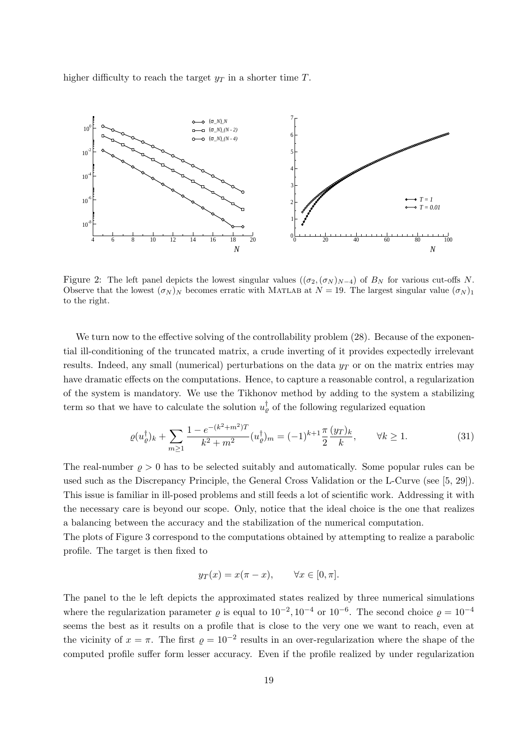higher difficulty to reach the target  $y_T$  in a shorter time T.



Figure 2: The left panel depicts the lowest singular values ( $(\sigma_2, (\sigma_N)_{N-4})$  of  $B_N$  for various cut-offs N. Observe that the lowest  $(\sigma_N)_N$  becomes erratic with MATLAB at  $N = 19$ . The largest singular value  $(\sigma_N)_1$ to the right.

We turn now to the effective solving of the controllability problem  $(28)$ . Because of the exponential ill-conditioning of the truncated matrix, a crude inverting of it provides expectedly irrelevant results. Indeed, any small (numerical) perturbations on the data  $y_T$  or on the matrix entries may have dramatic effects on the computations. Hence, to capture a reasonable control, a regularization of the system is mandatory. We use the Tikhonov method by adding to the system a stabilizing term so that we have to calculate the solution  $u_{\varrho}^{\dagger}$  of the following regularized equation

$$
\varrho(u_{\varrho}^{\dagger})_{k} + \sum_{m \ge 1} \frac{1 - e^{-(k^{2} + m^{2})T}}{k^{2} + m^{2}} (u_{\varrho}^{\dagger})_{m} = (-1)^{k+1} \frac{\pi}{2} \frac{(y_{T})_{k}}{k}, \qquad \forall k \ge 1.
$$
 (31)

The real-number  $\rho > 0$  has to be selected suitably and automatically. Some popular rules can be used such as the Discrepancy Principle, the General Cross Validation or the L-Curve (see [5, 29]). This issue is familiar in ill-posed problems and still feeds a lot of scientific work. Addressing it with the necessary care is beyond our scope. Only, notice that the ideal choice is the one that realizes a balancing between the accuracy and the stabilization of the numerical computation.

The plots of Figure 3 correspond to the computations obtained by attempting to realize a parabolic profile. The target is then fixed to

$$
y_T(x) = x(\pi - x), \qquad \forall x \in [0, \pi].
$$

The panel to the le left depicts the approximated states realized by three numerical simulations where the regularization parameter  $\varrho$  is equal to  $10^{-2}$ ,  $10^{-4}$  or  $10^{-6}$ . The second choice  $\varrho = 10^{-4}$ seems the best as it results on a profile that is close to the very one we want to reach, even at the vicinity of  $x = \pi$ . The first  $\varrho = 10^{-2}$  results in an over-regularization where the shape of the computed profile suffer form lesser accuracy. Even if the profile realized by under regularization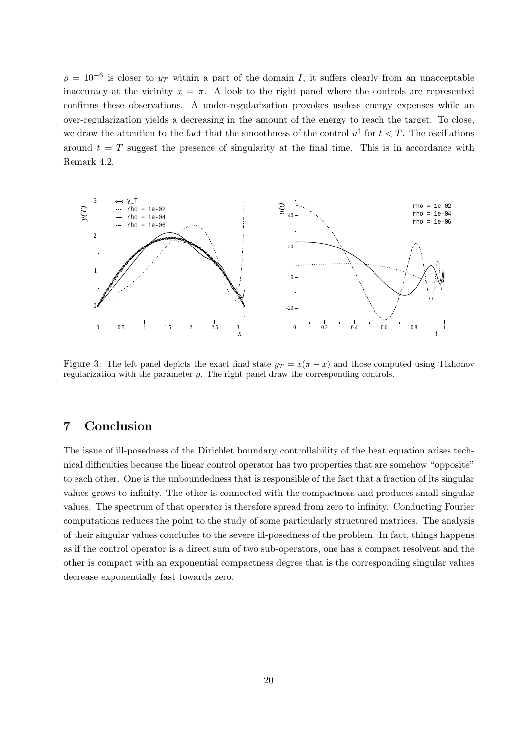$\varrho = 10^{-6}$  is closer to  $y_T$  within a part of the domain I, it suffers clearly from an unacceptable inaccuracy at the vicinity  $x = \pi$ . A look to the right panel where the controls are represented confirms these observations. A under-regularization provokes useless energy expenses while an over-regularization yields a decreasing in the amount of the energy to reach the target. To close, we draw the attention to the fact that the smoothness of the control  $u^{\dagger}$  for  $t < T$ . The oscillations around  $t = T$  suggest the presence of singularity at the final time. This is in accordance with Remark 4.2.



Figure 3: The left panel depicts the exact final state  $y_T = x(\pi - x)$  and those computed using Tikhonov regularization with the parameter  $\rho$ . The right panel draw the corresponding controls.

### 7 Conclusion

The issue of ill-posedness of the Dirichlet boundary controllability of the heat equation arises technical difficulties because the linear control operator has two properties that are somehow "opposite" to each other. One is the unboundedness that is responsible of the fact that a fraction of its singular values grows to infinity. The other is connected with the compactness and produces small singular values. The spectrum of that operator is therefore spread from zero to infinity. Conducting Fourier computations reduces the point to the study of some particularly structured matrices. The analysis of their singular values concludes to the severe ill-posedness of the problem. In fact, things happens as if the control operator is a direct sum of two sub-operators, one has a compact resolvent and the other is compact with an exponential compactness degree that is the corresponding singular values decrease exponentially fast towards zero.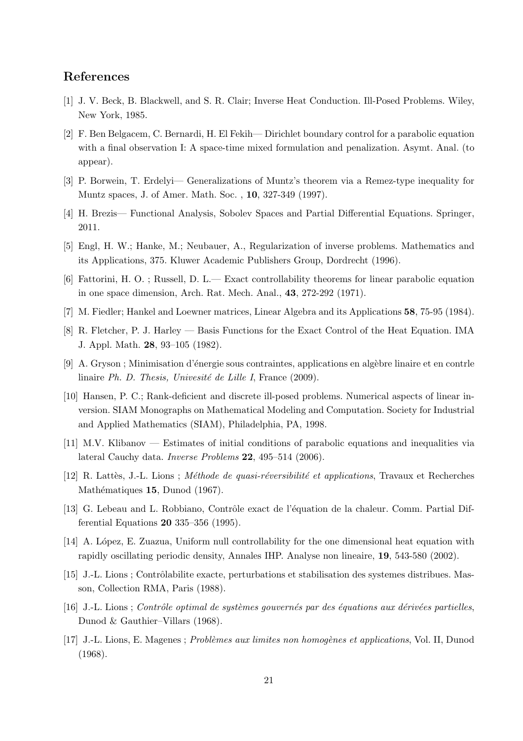#### References

- [1] J. V. Beck, B. Blackwell, and S. R. Clair; Inverse Heat Conduction. Ill-Posed Problems. Wiley, New York, 1985.
- [2] F. Ben Belgacem, C. Bernardi, H. El Fekih— Dirichlet boundary control for a parabolic equation with a final observation I: A space-time mixed formulation and penalization. Asymt. Anal. (to appear).
- [3] P. Borwein, T. Erdelyi— Generalizations of Muntz's theorem via a Remez-type inequality for Muntz spaces, J. of Amer. Math. Soc. , 10, 327-349 (1997).
- [4] H. Brezis— Functional Analysis, Sobolev Spaces and Partial Differential Equations. Springer, 2011.
- [5] Engl, H. W.; Hanke, M.; Neubauer, A., Regularization of inverse problems. Mathematics and its Applications, 375. Kluwer Academic Publishers Group, Dordrecht (1996).
- [6] Fattorini, H. O. ; Russell, D. L.— Exact controllability theorems for linear parabolic equation in one space dimension, Arch. Rat. Mech. Anal., 43, 272-292 (1971).
- [7] M. Fiedler; Hankel and Loewner matrices, Linear Algebra and its Applications 58, 75-95 (1984).
- [8] R. Fletcher, P. J. Harley Basis Functions for the Exact Control of the Heat Equation. IMA J. Appl. Math. 28, 93–105 (1982).
- [9] A. Gryson ; Minimisation d'énergie sous contraintes, applications en algèbre linaire et en contrle linaire Ph. D. Thesis, Univesité de Lille I, France  $(2009)$ .
- [10] Hansen, P. C.; Rank-deficient and discrete ill-posed problems. Numerical aspects of linear inversion. SIAM Monographs on Mathematical Modeling and Computation. Society for Industrial and Applied Mathematics (SIAM), Philadelphia, PA, 1998.
- [11] M.V. Klibanov Estimates of initial conditions of parabolic equations and inequalities via lateral Cauchy data. Inverse Problems 22, 495–514 (2006).
- [12] R. Lattès, J.-L. Lions ; Méthode de quasi-réversibilité et applications, Travaux et Recherches Mathématiques 15, Dunod (1967).
- [13] G. Lebeau and L. Robbiano, Contrôle exact de l'équation de la chaleur. Comm. Partial Differential Equations 20 335–356 (1995).
- [14] A. López, E. Zuazua, Uniform null controllability for the one dimensional heat equation with rapidly oscillating periodic density, Annales IHP. Analyse non lineaire, 19, 543-580 (2002).
- [15] J.-L. Lions ; Contrôlabilite exacte, perturbations et stabilisation des systemes distribues. Masson, Collection RMA, Paris (1988).
- $[16]$  J.-L. Lions; Contrôle optimal de systèmes gouvernés par des équations aux dérivées partielles, Dunod & Gauthier–Villars (1968).
- [17] J.-L. Lions, E. Magenes ; Problèmes aux limites non homogènes et applications, Vol. II, Dunod (1968).